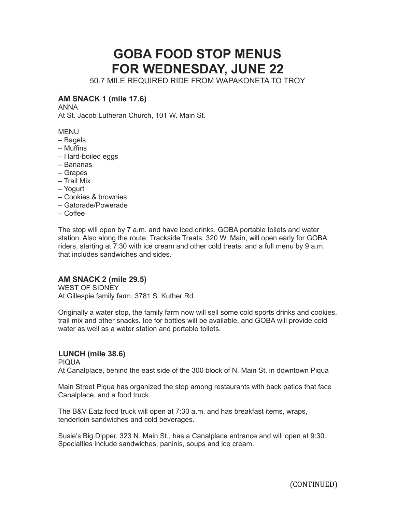## **GOBA FOOD STOP MENUS FOR WEDNESDAY, JUNE 22**

50.7 MILE REQUIRED RIDE FROM WAPAKONETA TO TROY

## **AM SNACK 1 (mile 17.6)**

ANNA

At St. Jacob Lutheran Church, 101 W. Main St.

MENU

- Bagels
- Muffins
- Hard-boiled eggs
- Bananas
- Grapes
- Trail Mix
- Yogurt
- Cookies & brownies
- Gatorade/Powerade
- Coffee

The stop will open by 7 a.m. and have iced drinks. GOBA portable toilets and water station. Also along the route, Trackside Treats, 320 W. Main, will open early for GOBA riders, starting at 7:30 with ice cream and other cold treats, and a full menu by 9 a.m. that includes sandwiches and sides.

## **AM SNACK 2 (mile 29.5)**

WEST OF SIDNEY At Gillespie family farm, 3781 S. Kuther Rd.

Originally a water stop, the family farm now will sell some cold sports drinks and cookies, trail mix and other snacks. Ice for bottles will be available, and GOBA will provide cold water as well as a water station and portable toilets.

## **LUNCH (mile 38.6)**

PIQUA

At Canalplace, behind the east side of the 300 block of N. Main St. in downtown Piqua

Main Street Piqua has organized the stop among restaurants with back patios that face Canalplace, and a food truck.

The B&V Eatz food truck will open at 7:30 a.m. and has breakfast items, wraps, tenderloin sandwiches and cold beverages.

Susie's Big Dipper, 323 N. Main St., has a Canalplace entrance and will open at 9:30. Specialties include sandwiches, paninis, soups and ice cream.